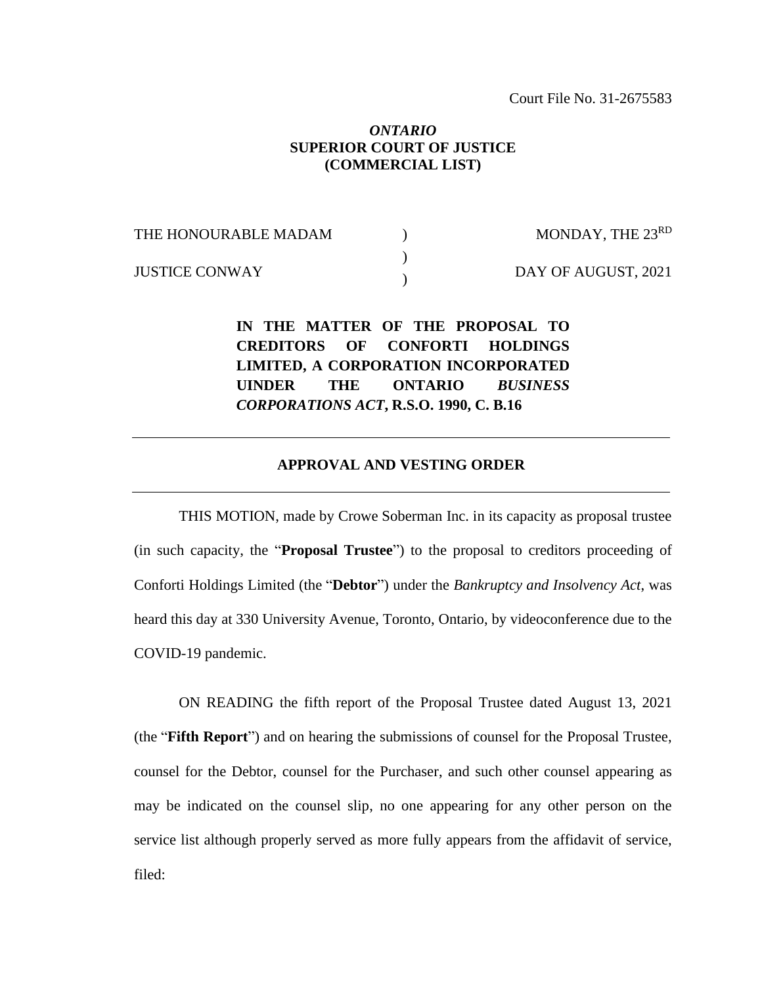## *ONTARIO* **SUPERIOR COURT OF JUSTICE (COMMERCIAL LIST)**

THE HONOURABLE MADAM JUSTICE CONWAY  $\mathcal{L}$ ) ) MONDAY, THE 23RD DAY OF AUGUST, 2021

> **IN THE MATTER OF THE PROPOSAL TO CREDITORS OF CONFORTI HOLDINGS LIMITED, A CORPORATION INCORPORATED UINDER THE ONTARIO** *BUSINESS CORPORATIONS ACT***, R.S.O. 1990, C. B.16**

## **APPROVAL AND VESTING ORDER**

THIS MOTION, made by Crowe Soberman Inc. in its capacity as proposal trustee (in such capacity, the "**Proposal Trustee**") to the proposal to creditors proceeding of Conforti Holdings Limited (the "**Debtor**") under the *Bankruptcy and Insolvency Act*, was heard this day at 330 University Avenue, Toronto, Ontario, by videoconference due to the COVID-19 pandemic.

ON READING the fifth report of the Proposal Trustee dated August 13, 2021 (the "**Fifth Report**") and on hearing the submissions of counsel for the Proposal Trustee, counsel for the Debtor, counsel for the Purchaser, and such other counsel appearing as may be indicated on the counsel slip, no one appearing for any other person on the service list although properly served as more fully appears from the affidavit of service, filed: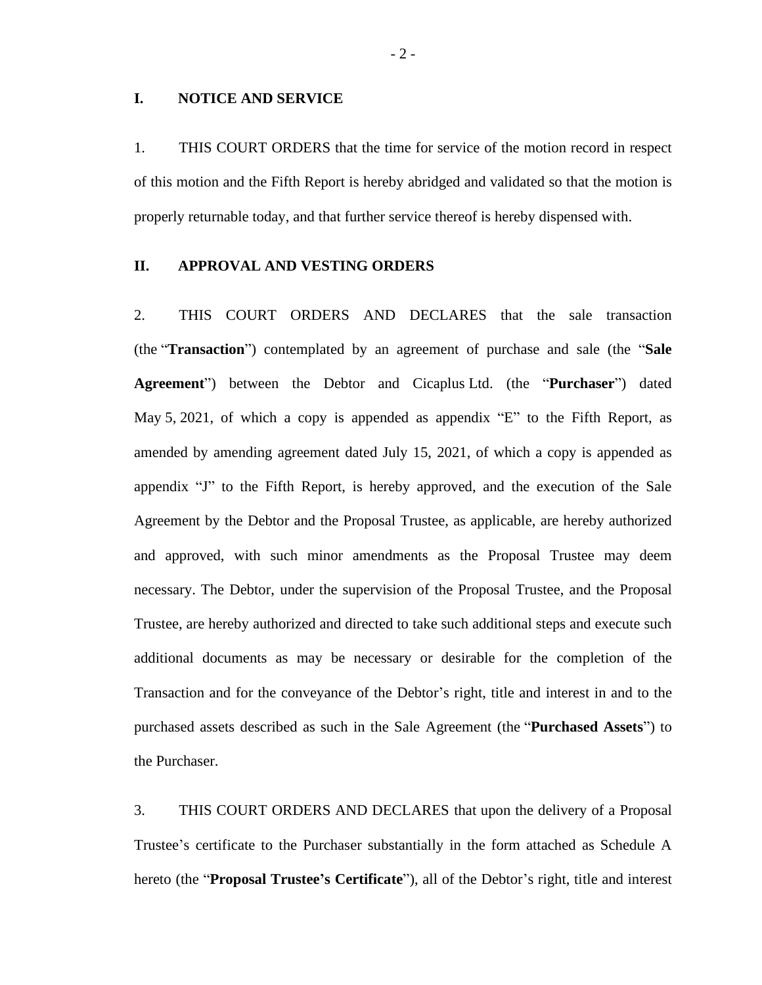### **I. NOTICE AND SERVICE**

1. THIS COURT ORDERS that the time for service of the motion record in respect of this motion and the Fifth Report is hereby abridged and validated so that the motion is properly returnable today, and that further service thereof is hereby dispensed with.

#### **II. APPROVAL AND VESTING ORDERS**

2. THIS COURT ORDERS AND DECLARES that the sale transaction (the "**Transaction**") contemplated by an agreement of purchase and sale (the "**Sale Agreement**") between the Debtor and Cicaplus Ltd. (the "**Purchaser**") dated May 5, 2021, of which a copy is appended as appendix "E" to the Fifth Report, as amended by amending agreement dated July 15, 2021, of which a copy is appended as appendix "J" to the Fifth Report, is hereby approved, and the execution of the Sale Agreement by the Debtor and the Proposal Trustee, as applicable, are hereby authorized and approved, with such minor amendments as the Proposal Trustee may deem necessary. The Debtor, under the supervision of the Proposal Trustee, and the Proposal Trustee, are hereby authorized and directed to take such additional steps and execute such additional documents as may be necessary or desirable for the completion of the Transaction and for the conveyance of the Debtor's right, title and interest in and to the purchased assets described as such in the Sale Agreement (the "**Purchased Assets**") to the Purchaser.

3. THIS COURT ORDERS AND DECLARES that upon the delivery of a Proposal Trustee's certificate to the Purchaser substantially in the form attached as Schedule A hereto (the "**Proposal Trustee's Certificate**"), all of the Debtor's right, title and interest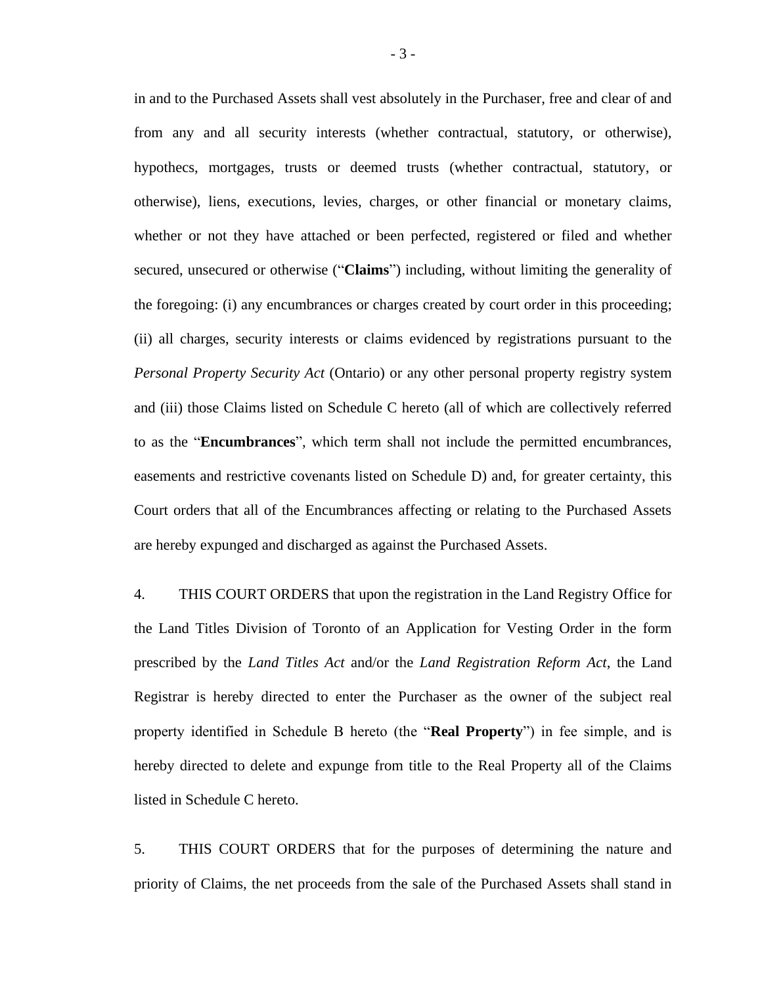in and to the Purchased Assets shall vest absolutely in the Purchaser, free and clear of and from any and all security interests (whether contractual, statutory, or otherwise), hypothecs, mortgages, trusts or deemed trusts (whether contractual, statutory, or otherwise), liens, executions, levies, charges, or other financial or monetary claims, whether or not they have attached or been perfected, registered or filed and whether secured, unsecured or otherwise ("**Claims**") including, without limiting the generality of the foregoing: (i) any encumbrances or charges created by court order in this proceeding; (ii) all charges, security interests or claims evidenced by registrations pursuant to the *Personal Property Security Act* (Ontario) or any other personal property registry system and (iii) those Claims listed on Schedule C hereto (all of which are collectively referred to as the "**Encumbrances**", which term shall not include the permitted encumbrances, easements and restrictive covenants listed on Schedule D) and, for greater certainty, this Court orders that all of the Encumbrances affecting or relating to the Purchased Assets are hereby expunged and discharged as against the Purchased Assets.

4. THIS COURT ORDERS that upon the registration in the Land Registry Office for the Land Titles Division of Toronto of an Application for Vesting Order in the form prescribed by the *Land Titles Act* and/or the *Land Registration Reform Act*, the Land Registrar is hereby directed to enter the Purchaser as the owner of the subject real property identified in Schedule B hereto (the "**Real Property**") in fee simple, and is hereby directed to delete and expunge from title to the Real Property all of the Claims listed in Schedule C hereto.

5. THIS COURT ORDERS that for the purposes of determining the nature and priority of Claims, the net proceeds from the sale of the Purchased Assets shall stand in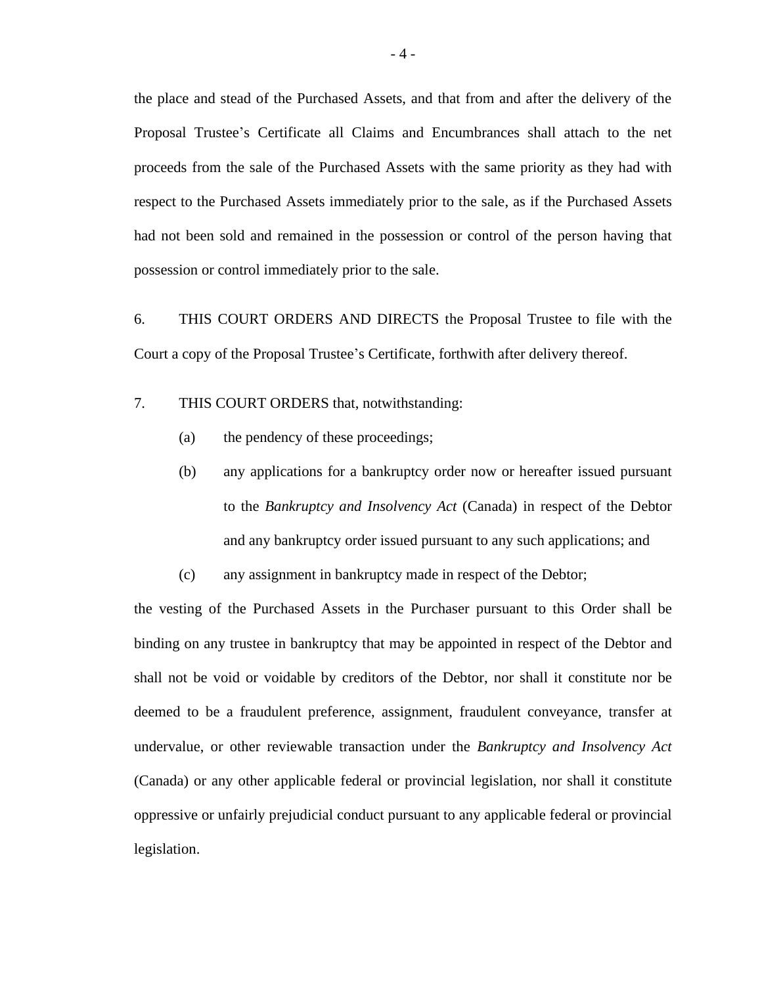the place and stead of the Purchased Assets, and that from and after the delivery of the Proposal Trustee's Certificate all Claims and Encumbrances shall attach to the net proceeds from the sale of the Purchased Assets with the same priority as they had with respect to the Purchased Assets immediately prior to the sale, as if the Purchased Assets had not been sold and remained in the possession or control of the person having that possession or control immediately prior to the sale.

6. THIS COURT ORDERS AND DIRECTS the Proposal Trustee to file with the Court a copy of the Proposal Trustee's Certificate, forthwith after delivery thereof.

7. THIS COURT ORDERS that, notwithstanding:

- (a) the pendency of these proceedings;
- (b) any applications for a bankruptcy order now or hereafter issued pursuant to the *Bankruptcy and Insolvency Act* (Canada) in respect of the Debtor and any bankruptcy order issued pursuant to any such applications; and
- (c) any assignment in bankruptcy made in respect of the Debtor;

the vesting of the Purchased Assets in the Purchaser pursuant to this Order shall be binding on any trustee in bankruptcy that may be appointed in respect of the Debtor and shall not be void or voidable by creditors of the Debtor, nor shall it constitute nor be deemed to be a fraudulent preference, assignment, fraudulent conveyance, transfer at undervalue, or other reviewable transaction under the *Bankruptcy and Insolvency Act*  (Canada) or any other applicable federal or provincial legislation, nor shall it constitute oppressive or unfairly prejudicial conduct pursuant to any applicable federal or provincial legislation.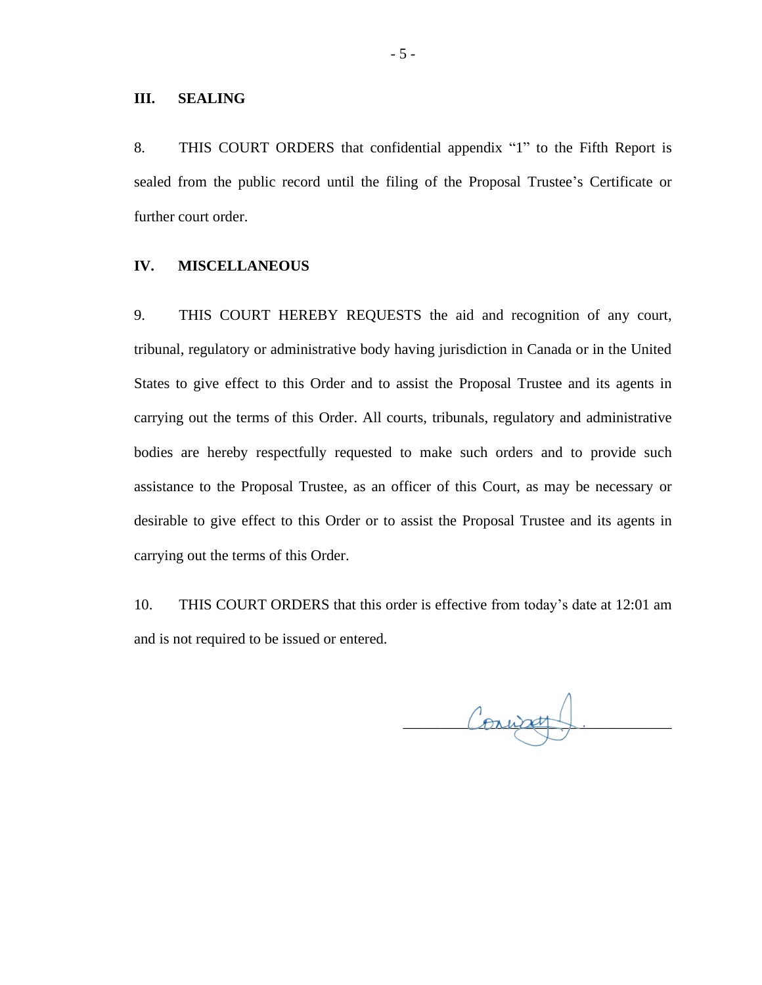#### **III. SEALING**

8. THIS COURT ORDERS that confidential appendix "1" to the Fifth Report is sealed from the public record until the filing of the Proposal Trustee's Certificate or further court order.

#### **IV. MISCELLANEOUS**

9. THIS COURT HEREBY REQUESTS the aid and recognition of any court, tribunal, regulatory or administrative body having jurisdiction in Canada or in the United States to give effect to this Order and to assist the Proposal Trustee and its agents in carrying out the terms of this Order. All courts, tribunals, regulatory and administrative bodies are hereby respectfully requested to make such orders and to provide such assistance to the Proposal Trustee, as an officer of this Court, as may be necessary or desirable to give effect to this Order or to assist the Proposal Trustee and its agents in carrying out the terms of this Order.

10. THIS COURT ORDERS that this order is effective from today's date at 12:01 am and is not required to be issued or entered.

Convatt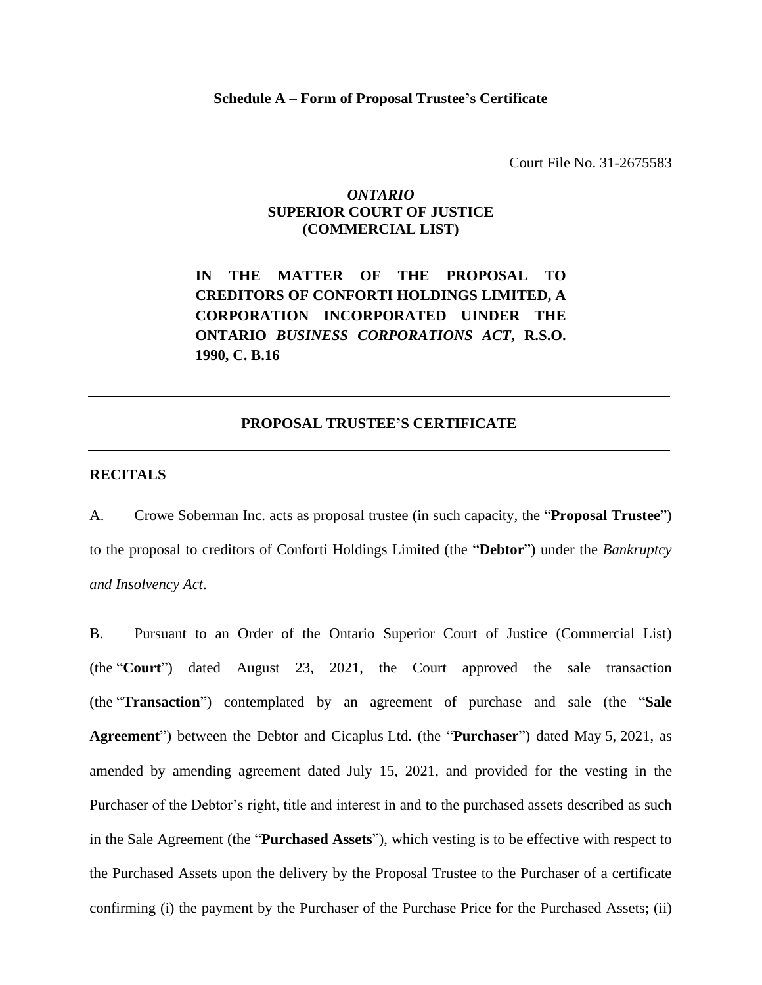Court File No. 31-2675583

## *ONTARIO* **SUPERIOR COURT OF JUSTICE (COMMERCIAL LIST)**

**IN THE MATTER OF THE PROPOSAL TO CREDITORS OF CONFORTI HOLDINGS LIMITED, A CORPORATION INCORPORATED UINDER THE ONTARIO** *BUSINESS CORPORATIONS ACT***, R.S.O. 1990, C. B.16**

#### **PROPOSAL TRUSTEE'S CERTIFICATE**

#### **RECITALS**

A. Crowe Soberman Inc. acts as proposal trustee (in such capacity, the "**Proposal Trustee**") to the proposal to creditors of Conforti Holdings Limited (the "**Debtor**") under the *Bankruptcy and Insolvency Act*.

B. Pursuant to an Order of the Ontario Superior Court of Justice (Commercial List) (the "**Court**") dated August 23, 2021, the Court approved the sale transaction (the "**Transaction**") contemplated by an agreement of purchase and sale (the "**Sale Agreement**") between the Debtor and Cicaplus Ltd. (the "**Purchaser**") dated May 5, 2021, as amended by amending agreement dated July 15, 2021, and provided for the vesting in the Purchaser of the Debtor's right, title and interest in and to the purchased assets described as such in the Sale Agreement (the "**Purchased Assets**"), which vesting is to be effective with respect to the Purchased Assets upon the delivery by the Proposal Trustee to the Purchaser of a certificate confirming (i) the payment by the Purchaser of the Purchase Price for the Purchased Assets; (ii)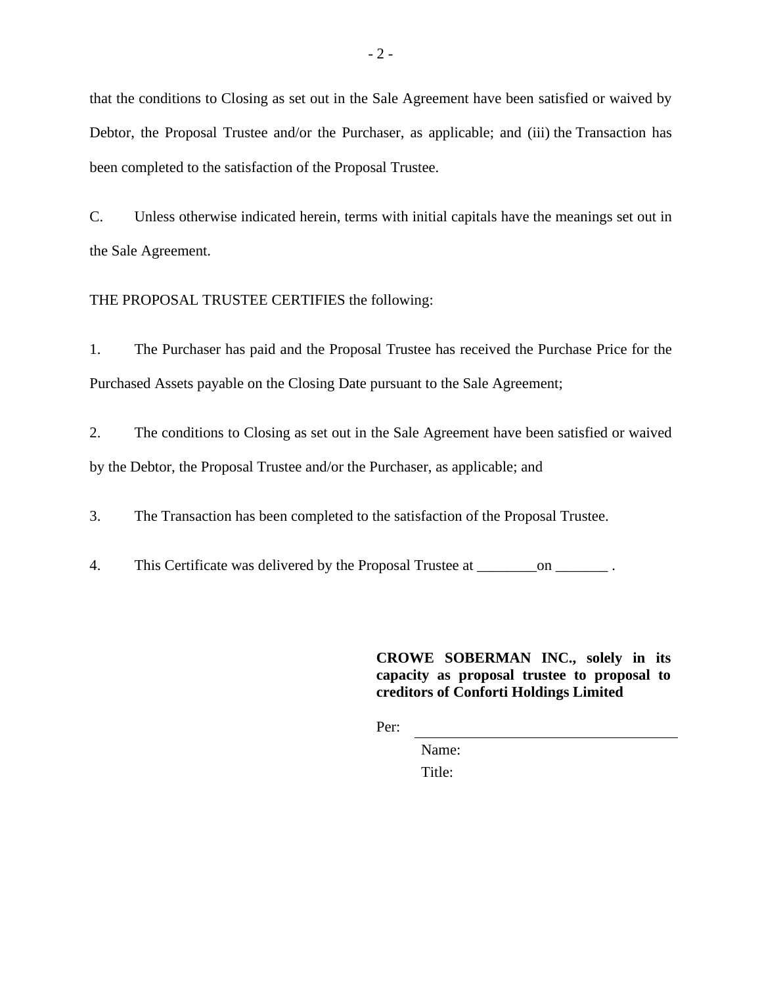that the conditions to Closing as set out in the Sale Agreement have been satisfied or waived by Debtor, the Proposal Trustee and/or the Purchaser, as applicable; and (iii) the Transaction has been completed to the satisfaction of the Proposal Trustee.

C. Unless otherwise indicated herein, terms with initial capitals have the meanings set out in the Sale Agreement.

THE PROPOSAL TRUSTEE CERTIFIES the following:

1. The Purchaser has paid and the Proposal Trustee has received the Purchase Price for the Purchased Assets payable on the Closing Date pursuant to the Sale Agreement;

2. The conditions to Closing as set out in the Sale Agreement have been satisfied or waived by the Debtor, the Proposal Trustee and/or the Purchaser, as applicable; and

3. The Transaction has been completed to the satisfaction of the Proposal Trustee.

4. This Certificate was delivered by the Proposal Trustee at \_\_\_\_\_\_\_\_\_on \_\_\_\_\_\_\_\_

**CROWE SOBERMAN INC., solely in its capacity as proposal trustee to proposal to creditors of Conforti Holdings Limited**

Per:

Name:

Title: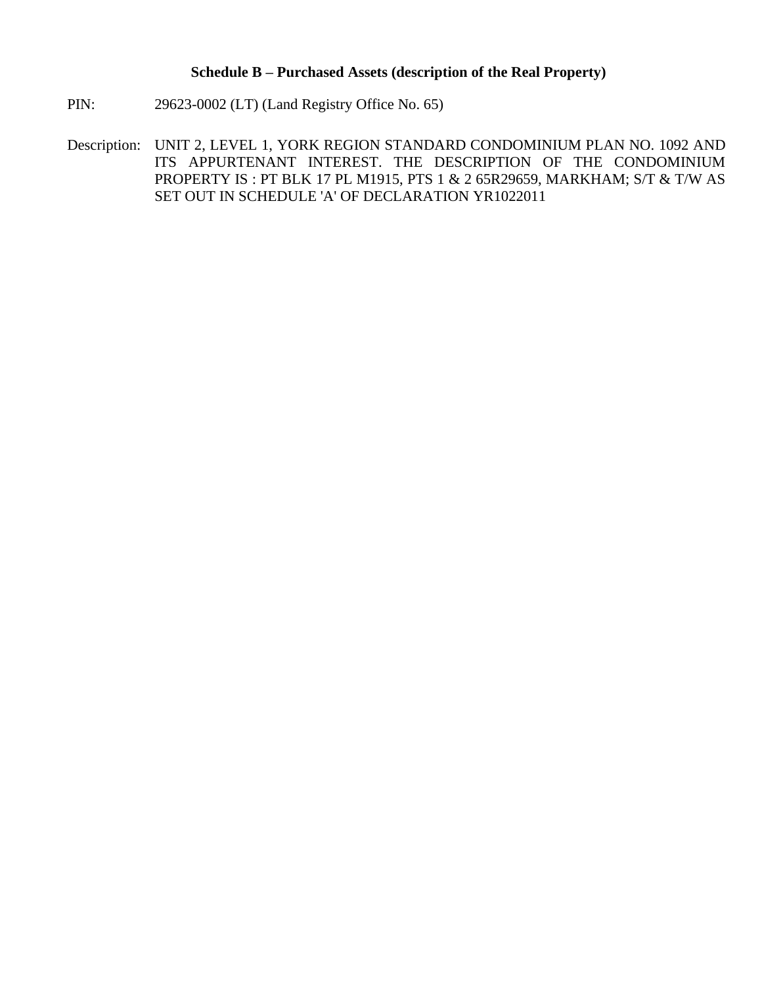# **Schedule B – Purchased Assets (description of the Real Property)**

- PIN: 29623-0002 (LT) (Land Registry Office No. 65)
- Description: UNIT 2, LEVEL 1, YORK REGION STANDARD CONDOMINIUM PLAN NO. 1092 AND ITS APPURTENANT INTEREST. THE DESCRIPTION OF THE CONDOMINIUM PROPERTY IS : PT BLK 17 PL M1915, PTS 1 & 2 65R29659, MARKHAM; S/T & T/W AS SET OUT IN SCHEDULE 'A' OF DECLARATION YR1022011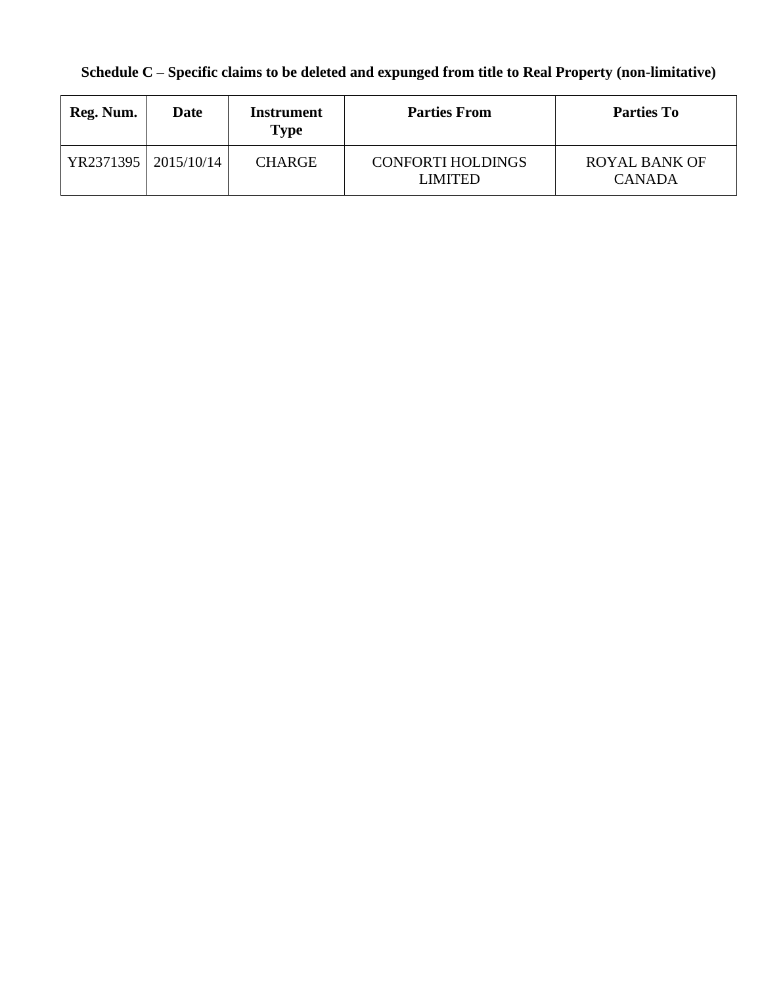# **Schedule C – Specific claims to be deleted and expunged from title to Real Property (non-limitative)**

| Reg. Num.            | Date | Instrument<br><b>Type</b> | <b>Parties From</b>                 | <b>Parties To</b>                     |
|----------------------|------|---------------------------|-------------------------------------|---------------------------------------|
| YR2371395 2015/10/14 |      | <b>CHARGE</b>             | <b>CONFORTI HOLDINGS</b><br>LIMITED | <b>ROYAL BANK OF</b><br><b>CANADA</b> |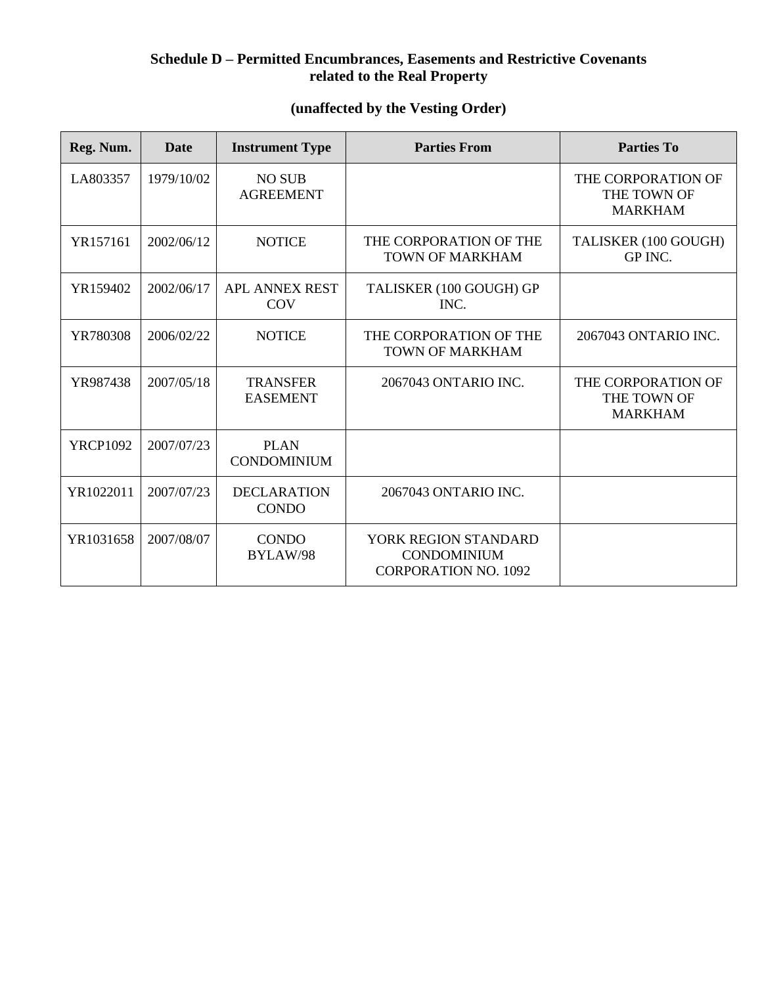# **Schedule D – Permitted Encumbrances, Easements and Restrictive Covenants related to the Real Property**

# **(unaffected by the Vesting Order)**

| Reg. Num.       | <b>Date</b> | <b>Instrument Type</b>              | <b>Parties From</b>                                                       | <b>Parties To</b>                                   |
|-----------------|-------------|-------------------------------------|---------------------------------------------------------------------------|-----------------------------------------------------|
| LA803357        | 1979/10/02  | <b>NO SUB</b><br><b>AGREEMENT</b>   |                                                                           | THE CORPORATION OF<br>THE TOWN OF<br><b>MARKHAM</b> |
| YR157161        | 2002/06/12  | <b>NOTICE</b>                       | THE CORPORATION OF THE<br>TOWN OF MARKHAM                                 | TALISKER (100 GOUGH)<br>GP INC.                     |
| YR159402        | 2002/06/17  | <b>APL ANNEX REST</b><br><b>COV</b> | TALISKER (100 GOUGH) GP<br>INC.                                           |                                                     |
| YR780308        | 2006/02/22  | <b>NOTICE</b>                       | THE CORPORATION OF THE<br><b>TOWN OF MARKHAM</b>                          | 2067043 ONTARIO INC.                                |
| YR987438        | 2007/05/18  | <b>TRANSFER</b><br><b>EASEMENT</b>  | 2067043 ONTARIO INC.                                                      | THE CORPORATION OF<br>THE TOWN OF<br><b>MARKHAM</b> |
| <b>YRCP1092</b> | 2007/07/23  | <b>PLAN</b><br><b>CONDOMINIUM</b>   |                                                                           |                                                     |
| YR1022011       | 2007/07/23  | <b>DECLARATION</b><br><b>CONDO</b>  | 2067043 ONTARIO INC.                                                      |                                                     |
| YR1031658       | 2007/08/07  | <b>CONDO</b><br>BYLAW/98            | YORK REGION STANDARD<br><b>CONDOMINIUM</b><br><b>CORPORATION NO. 1092</b> |                                                     |